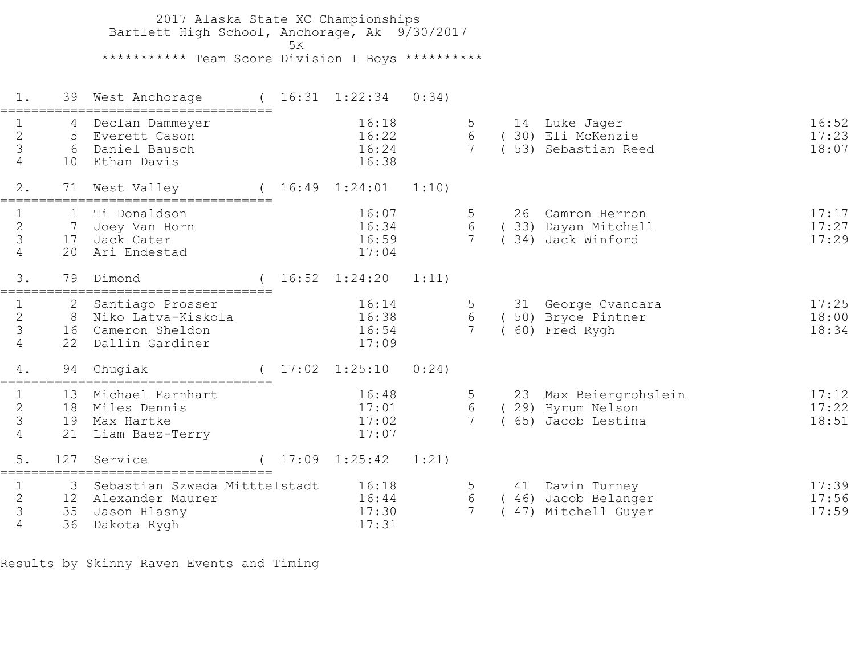2017 Alaska State XC Championships Bartlett High School, Anchorage, Ak 9/30/2017  $5K$  \*\*\*\*\*\*\*\*\*\*\* Team Score Division I Boys \*\*\*\*\*\*\*\*\*\* 1. 39 West Anchorage ( 16:31 1:22:34 0:34) =================================== 1 4 Declan Dammeyer 16:18 5 14 Luke Jager 16:52 2 5 Everett Cason 16:22 6 ( 30) Eli McKenzie 17:23 3 6 Daniel Bausch 16:24 7 ( 53) Sebastian Reed 18:07 10 Ethan Davis 2. 71 West Valley ( 16:49 1:24:01 1:10) =================================== 1 1 Ti Donaldson 16:07 5 26 Camron Herron 17:17 2 7 Joey Van Horn 16:34 6 ( 33) Dayan Mitchell 17:27 3 17 Jack Cater 16:59 7 ( 34) Jack Winford 17:29 1 1 Ti Donaldson<br>
2 7 Joey Van Horn<br>
3 17 Jack Cater<br>
4 20 Ari Endestad 3. 79 Dimond ( 16:52 1:24:20 1:11) =================================== 1 2 Santiago Prosser 16:14 5 31 George Cvancara 17:25 2 8 Niko Latva-Kiskola 16:38 6 ( 50) Bryce Pintner 18:00 3 16 Cameron Sheldon 16:54 7 ( 60) Fred Rygh 18:34 4 22 Dallin Gardiner 17:09 4. 94 Chugiak ( 17:02 1:25:10 0:24) =================================== 1 13 Michael Earnhart 16:48 5 23 Max Beiergrohslein 17:12 2 18 Miles Dennis 17:01 6 ( 29) Hyrum Nelson 17:22 3 19 Max Hartke 17:02 7 ( 65) Jacob Lestina 18:51 4 21 Liam Baez-Terry 17:07 5. 127 Service ( 17:09 1:25:42 1:21) =================================== 1 3 Sebastian Szweda Mitttelstadt 16:18 5 41 Davin Turney 17:39 2 12 Alexander Maurer 16:44 6 ( 46) Jacob Belanger 17:56 3 35 Jason Hlasny 17:30 7 ( 47) Mitchell Guyer 17:59 4 36 Dakota Rygh 17:31

Results by Skinny Raven Events and Timing